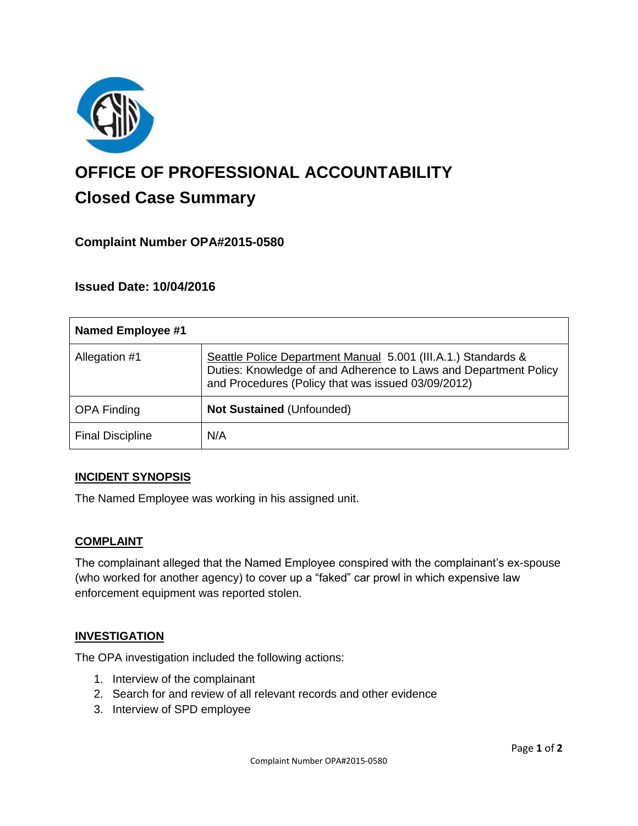

# **OFFICE OF PROFESSIONAL ACCOUNTABILITY Closed Case Summary**

# **Complaint Number OPA#2015-0580**

# **Issued Date: 10/04/2016**

| <b>Named Employee #1</b> |                                                                                                                                                                                         |
|--------------------------|-----------------------------------------------------------------------------------------------------------------------------------------------------------------------------------------|
| Allegation #1            | Seattle Police Department Manual 5.001 (III.A.1.) Standards &<br>Duties: Knowledge of and Adherence to Laws and Department Policy<br>and Procedures (Policy that was issued 03/09/2012) |
| <b>OPA Finding</b>       | <b>Not Sustained (Unfounded)</b>                                                                                                                                                        |
| <b>Final Discipline</b>  | N/A                                                                                                                                                                                     |

### **INCIDENT SYNOPSIS**

The Named Employee was working in his assigned unit.

#### **COMPLAINT**

The complainant alleged that the Named Employee conspired with the complainant's ex-spouse (who worked for another agency) to cover up a "faked" car prowl in which expensive law enforcement equipment was reported stolen.

### **INVESTIGATION**

The OPA investigation included the following actions:

- 1. Interview of the complainant
- 2. Search for and review of all relevant records and other evidence
- 3. Interview of SPD employee